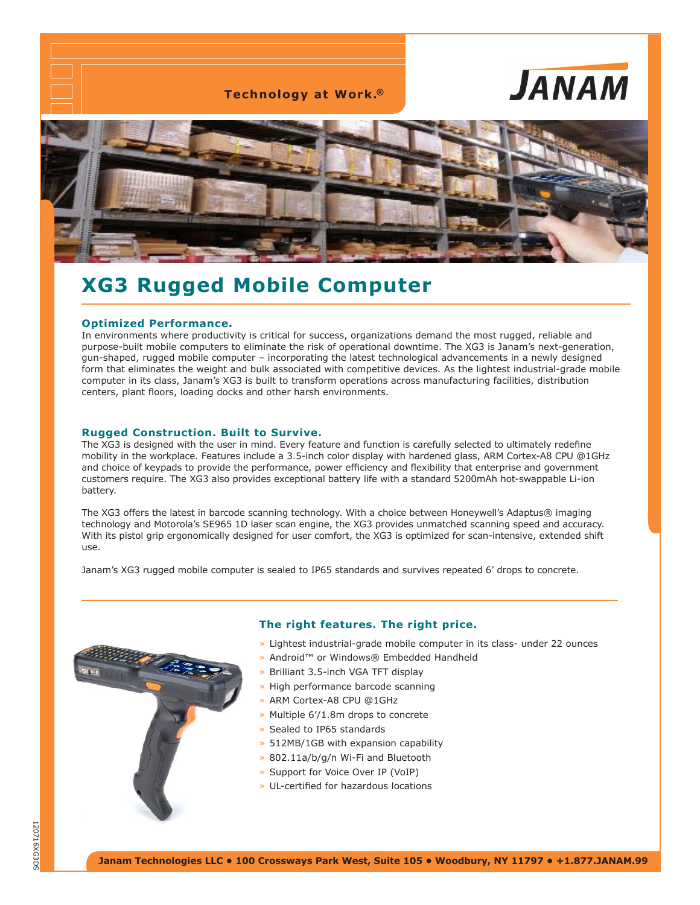**Technology at Work.®**





# **XG3 Rugged Mobile Computer**

## **Optimized Performance.**

In environments where productivity is critical for success, organizations demand the most rugged, reliable and purpose-built mobile computers to eliminate the risk of operational downtime. The XG3 is Janam's next-generation, gun-shaped, rugged mobile computer – incorporating the latest technological advancements in a newly designed form that eliminates the weight and bulk associated with competitive devices. As the lightest industrial-grade mobile computer in its class, Janam's XG3 is built to transform operations across manufacturing facilities, distribution centers, plant floors, loading docks and other harsh environments.

## **Rugged Construction. Built to Survive.**

The XG3 is designed with the user in mind. Every feature and function is carefully selected to ultimately redefine mobility in the workplace. Features include a 3.5-inch color display with hardened glass, ARM Cortex-A8 CPU @1GHz and choice of keypads to provide the performance, power efficiency and flexibility that enterprise and government customers require. The XG3 also provides exceptional battery life with a standard 5200mAh hot-swappable Li-ion battery.

The XG3 offers the latest in barcode scanning technology. With a choice between Honeywell's Adaptus® imaging technology and Motorola's SE965 1D laser scan engine, the XG3 provides unmatched scanning speed and accuracy. With its pistol grip ergonomically designed for user comfort, the XG3 is optimized for scan-intensive, extended shift use.

Janam's XG3 rugged mobile computer is sealed to IP65 standards and survives repeated 6' drops to concrete.



#### **The right features. The right price.**

- » Lightest industrial-grade mobile computer in its class- under 22 ounces
- » Android™ or Windows® Embedded Handheld
- » Brilliant 3.5-inch VGA TFT display
- » High performance barcode scanning
- » ARM Cortex-A8 CPU @1GHz
- » Multiple 6'/1.8m drops to concrete
- » Sealed to IP65 standards
- » 512MB/1GB with expansion capability
- » 802.11a/b/g/n Wi-Fi and Bluetooth
- » Support for Voice Over IP (VoIP)
- » UL-certified for hazardous locations